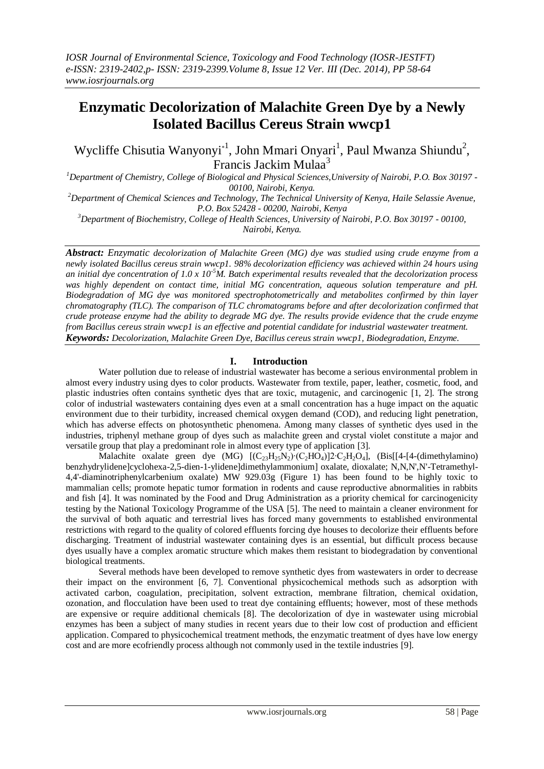# **Enzymatic Decolorization of Malachite Green Dye by a Newly Isolated Bacillus Cereus Strain wwcp1**

Wycliffe Chisutia Wanyonyi<sup>\*1</sup>, John Mmari Onyari<sup>1</sup>, Paul Mwanza Shiundu<sup>2</sup>, Francis Jackim Mulaa<sup>3</sup>

*<sup>1</sup>Department of Chemistry, College of Biological and Physical Sciences,University of Nairobi, P.O. Box 30197 - 00100, Nairobi, Kenya.* 

*<sup>2</sup>Department of Chemical Sciences and Technology, The Technical University of Kenya, Haile Selassie Avenue, P.O. Box 52428 - 00200, Nairobi, Kenya*

*<sup>3</sup>Department of Biochemistry, College of Health Sciences, University of Nairobi, P.O. Box 30197 - 00100, Nairobi, Kenya.*

*Abstract: Enzymatic decolorization of Malachite Green (MG) dye was studied using crude enzyme from a newly isolated Bacillus cereus strain wwcp1. 98% decolorization efficiency was achieved within 24 hours using an initial dye concentration of 1.0 x 10-5M. Batch experimental results revealed that the decolorization process*  was highly dependent on contact time, initial MG concentration, aqueous solution temperature and pH. *Biodegradation of MG dye was monitored spectrophotometrically and metabolites confirmed by thin layer chromatography (TLC). The comparison of TLC chromatograms before and after decolorization confirmed that crude protease enzyme had the ability to degrade MG dye. The results provide evidence that the crude enzyme from Bacillus cereus strain wwcp1 is an effective and potential candidate for industrial wastewater treatment. Keywords: Decolorization, Malachite Green Dye, Bacillus cereus strain wwcp1, Biodegradation, Enzyme.* 

# **I. Introduction**

Water pollution due to release of industrial wastewater has become a serious environmental problem in almost every industry using dyes to color products. Wastewater from textile, paper, leather, cosmetic, food, and plastic industries often contains synthetic dyes that are toxic, mutagenic, and carcinogenic [1, 2]. The strong color of industrial wastewaters containing dyes even at a small concentration has a huge impact on the aquatic environment due to their turbidity, increased chemical oxygen demand (COD), and reducing light penetration, which has adverse effects on photosynthetic phenomena. Among many classes of synthetic dyes used in the industries, triphenyl methane group of dyes such as malachite green and crystal violet constitute a major and versatile group that play a predominant role in almost every type of application [3].

Malachite oxalate green dye (MG)  $[(C_{23}H_{25}N_2)·(C_2HO_4)]2·C_2H_2O_4]$ , (Bis[[4-[4-(dimethylamino) benzhydrylidene]cyclohexa-2,5-dien-1-ylidene]dimethylammonium] oxalate, dioxalate; N,N,N',N'-Tetramethyl-4,4'-diaminotriphenylcarbenium oxalate) MW 929.03g (Figure 1) has been found to be highly toxic to mammalian cells; promote hepatic tumor formation in rodents and cause reproductive abnormalities in rabbits and fish [4]. It was nominated by the Food and Drug Administration as a priority chemical for carcinogenicity testing by the National Toxicology Programme of the USA [5]. The need to maintain a cleaner environment for the survival of both aquatic and terrestrial lives has forced many governments to established environmental restrictions with regard to the quality of colored effluents forcing dye houses to decolorize their effluents before discharging. Treatment of industrial wastewater containing dyes is an essential, but difficult process because dyes usually have a complex aromatic structure which makes them resistant to biodegradation by conventional biological treatments.

Several methods have been developed to remove synthetic dyes from wastewaters in order to decrease their impact on the environment [6, 7]. Conventional physicochemical methods such as adsorption with activated carbon, coagulation, precipitation, solvent extraction, membrane filtration, chemical oxidation, ozonation, and flocculation have been used to treat dye containing effluents; however, most of these methods are expensive or require additional chemicals [8]. The decolorization of dye in wastewater using microbial enzymes has been a subject of many studies in recent years due to their low cost of production and efficient application. Compared to physicochemical treatment methods, the enzymatic treatment of dyes have low energy cost and are more ecofriendly process although not commonly used in the textile industries [9].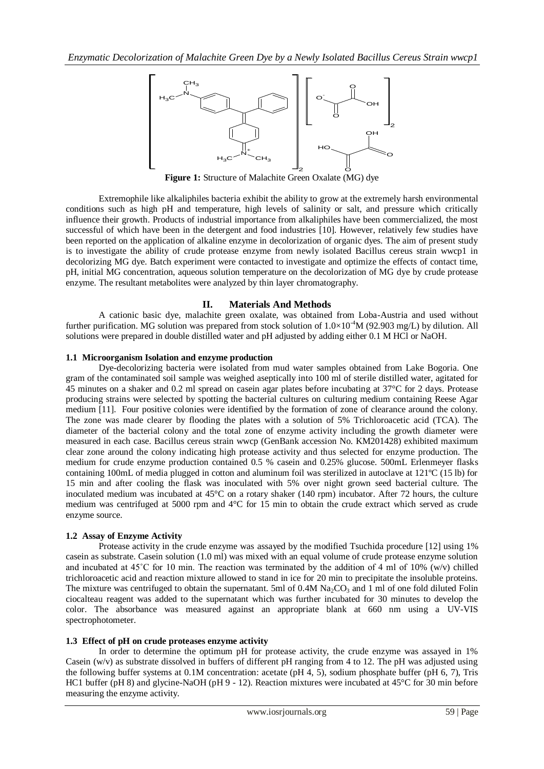

**Figure 1:** Structure of Malachite Green Oxalate (MG) dye

Extremophile like alkaliphiles bacteria exhibit the ability to grow at the extremely harsh environmental conditions such as high pH and temperature, high levels of salinity or salt, and pressure which critically influence their growth. Products of industrial importance from alkaliphiles have been commercialized, the most successful of which have been in the detergent and food industries [10]. However, relatively few studies have been reported on the application of alkaline enzyme in decolorization of organic dyes. The aim of present study is to investigate the ability of crude protease enzyme from newly isolated Bacillus cereus strain wwcp1 in decolorizing MG dye. Batch experiment were contacted to investigate and optimize the effects of contact time, pH, initial MG concentration, aqueous solution temperature on the decolorization of MG dye by crude protease enzyme. The resultant metabolites were analyzed by thin layer chromatography.

# **II. Materials And Methods**

A cationic basic dye, malachite green oxalate, was obtained from Loba-Austria and used without further purification. MG solution was prepared from stock solution of  $1.0\times10^{-4}$ M (92.903 mg/L) by dilution. All solutions were prepared in double distilled water and pH adjusted by adding either 0.1 M HCl or NaOH.

# **1.1 Microorganism Isolation and enzyme production**

We are the Matchine by the constant with the distinguish by the modelic strain of Matchine Statistic Matchine Statistic Matchine Channel and distinguish of the extended in the extended in the extended in the constant of t Dye-decolorizing bacteria were isolated from mud water samples obtained from Lake Bogoria. One gram of the contaminated soil sample was weighed aseptically into 100 ml of sterile distilled water, agitated for 45 minutes on a shaker and 0.2 ml spread on casein agar plates before incubating at 37°C for 2 days. Protease producing strains were selected by spotting the bacterial cultures on culturing medium containing Reese Agar medium [11]. Four positive colonies were identified by the formation of zone of clearance around the colony. The zone was made clearer by flooding the plates with a solution of 5% Trichloroacetic acid (TCA). The diameter of the bacterial colony and the total zone of enzyme activity including the growth diameter were measured in each case. Bacillus cereus strain wwcp (GenBank accession No. KM201428) exhibited maximum clear zone around the colony indicating high protease activity and thus selected for enzyme production. The medium for crude enzyme production contained 0.5 % casein and 0.25% glucose. 500mL Erlenmeyer flasks containing 100mL of media plugged in cotton and aluminum foil was sterilized in autoclave at 121ºC (15 lb) for 15 min and after cooling the flask was inoculated with 5% over night grown seed bacterial culture. The inoculated medium was incubated at 45°C on a rotary shaker (140 rpm) incubator. After 72 hours, the culture medium was centrifuged at 5000 rpm and 4°C for 15 min to obtain the crude extract which served as crude enzyme source.

# **1.2 Assay of Enzyme Activity**

Protease activity in the crude enzyme was assayed by the modified Tsuchida procedure [12] using 1% casein as substrate. Casein solution (1.0 ml) was mixed with an equal volume of crude protease enzyme solution and incubated at  $45^{\circ}$ C for 10 min. The reaction was terminated by the addition of 4 ml of 10% (w/v) chilled trichloroacetic acid and reaction mixture allowed to stand in ice for 20 min to precipitate the insoluble proteins. The mixture was centrifuged to obtain the supernatant. 5ml of 0.4M Na<sub>2</sub>CO<sub>3</sub> and 1 ml of one fold diluted Folin ciocalteau reagent was added to the supernatant which was further incubated for 30 minutes to develop the color. The absorbance was measured against an appropriate blank at 660 nm using a UV-VIS spectrophotometer.

# **1.3 Effect of pH on crude proteases enzyme activity**

In order to determine the optimum pH for protease activity, the crude enzyme was assayed in 1% Casein (w/v) as substrate dissolved in buffers of different pH ranging from 4 to 12. The pH was adjusted using the following buffer systems at 0.1M concentration: acetate (pH 4, 5), sodium phosphate buffer (pH 6, 7), Tris HC1 buffer (pH 8) and glycine-NaOH (pH 9 - 12). Reaction mixtures were incubated at 45°C for 30 min before measuring the enzyme activity.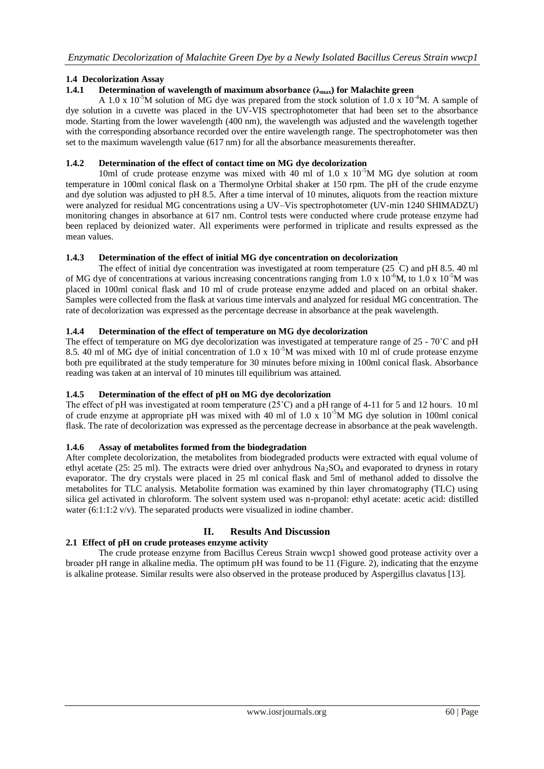# **1.4 Decolorization Assay**

# **1.4.1 Determination of wavelength of maximum absorbance (λmax) for Malachite green**

A 1.0 x 10<sup>-5</sup>M solution of MG dye was prepared from the stock solution of 1.0 x 10<sup>-4</sup>M. A sample of dye solution in a cuvette was placed in the UV-VIS spectrophotometer that had been set to the absorbance mode. Starting from the lower wavelength (400 nm), the wavelength was adjusted and the wavelength together with the corresponding absorbance recorded over the entire wavelength range. The spectrophotometer was then set to the maximum wavelength value (617 nm) for all the absorbance measurements thereafter.

#### **1.4.2 Determination of the effect of contact time on MG dye decolorization**

10ml of crude protease enzyme was mixed with 40 ml of 1.0 x  $10^{-5}M$  MG dye solution at room temperature in 100ml conical flask on a Thermolyne Orbital shaker at 150 rpm. The pH of the crude enzyme and dye solution was adjusted to pH 8.5. After a time interval of 10 minutes, aliquots from the reaction mixture were analyzed for residual MG concentrations using a UV–Vis spectrophotometer (UV-min 1240 SHIMADZU) monitoring changes in absorbance at 617 nm. Control tests were conducted where crude protease enzyme had been replaced by deionized water. All experiments were performed in triplicate and results expressed as the mean values.

#### **1.4.3 Determination of the effect of initial MG dye concentration on decolorization**

The effect of initial dye concentration was investigated at room temperature (25 ˚C) and pH 8.5. 40 ml of MG dye of concentrations at various increasing concentrations ranging from 1.0 x 10<sup>-6</sup>M, to 1.0 x 10<sup>-5</sup>M was placed in 100ml conical flask and 10 ml of crude protease enzyme added and placed on an orbital shaker. Samples were collected from the flask at various time intervals and analyzed for residual MG concentration. The rate of decolorization was expressed as the percentage decrease in absorbance at the peak wavelength.

#### **1.4.4 Determination of the effect of temperature on MG dye decolorization**

The effect of temperature on MG dye decolorization was investigated at temperature range of 25 - 70˚C and pH 8.5. 40 ml of MG dye of initial concentration of 1.0 x  $10^{-5}$ M was mixed with 10 ml of crude protease enzyme both pre equilibrated at the study temperature for 30 minutes before mixing in 100ml conical flask. Absorbance reading was taken at an interval of 10 minutes till equilibrium was attained.

#### **1.4.5 Determination of the effect of pH on MG dye decolorization**

The effect of pH was investigated at room temperature (25˚C) and a pH range of 4-11 for 5 and 12 hours. 10 ml of crude enzyme at appropriate pH was mixed with 40 ml of 1.0 x  $10^{-5}$ M MG dye solution in 100ml conical flask. The rate of decolorization was expressed as the percentage decrease in absorbance at the peak wavelength.

#### **1.4.6 Assay of metabolites formed from the biodegradation**

After complete decolorization, the metabolites from biodegraded products were extracted with equal volume of ethyl acetate (25: 25 ml). The extracts were dried over anhydrous  $Na<sub>2</sub>SO<sub>4</sub>$  and evaporated to dryness in rotary evaporator. The dry crystals were placed in 25 ml conical flask and 5ml of methanol added to dissolve the metabolites for TLC analysis. Metabolite formation was examined by thin layer chromatography (TLC) using silica gel activated in chloroform. The solvent system used was n-propanol: ethyl acetate: acetic acid: distilled water  $(6:1:1:2 \text{ v/v})$ . The separated products were visualized in iodine chamber.

# **II. Results And Discussion**

# **2.1 Effect of pH on crude proteases enzyme activity**

The crude protease enzyme from Bacillus Cereus Strain wwcp1 showed good protease activity over a broader pH range in alkaline media. The optimum pH was found to be 11 (Figure. 2), indicating that the enzyme is alkaline protease. Similar results were also observed in the protease produced by Aspergillus clavatus [13].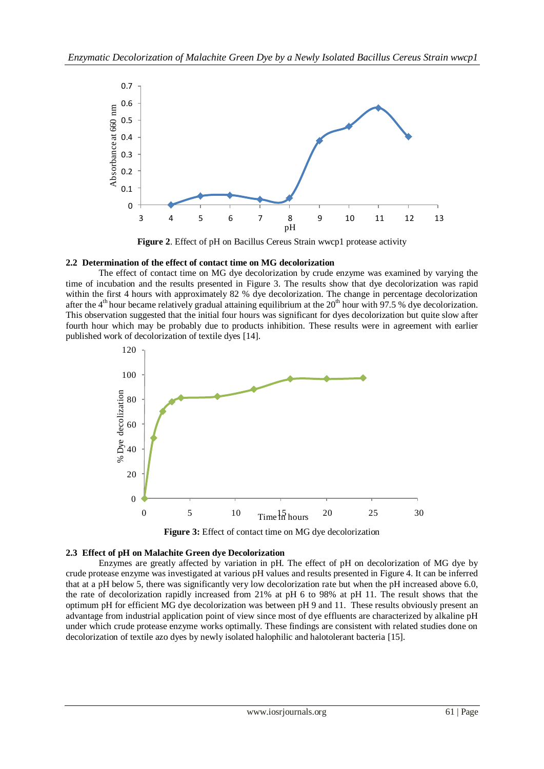

**Figure 2**. Effect of pH on Bacillus Cereus Strain wwcp1 protease activity

# **2.2 Determination of the effect of contact time on MG decolorization**

The effect of contact time on MG dye decolorization by crude enzyme was examined by varying the time of incubation and the results presented in Figure 3. The results show that dye decolorization was rapid within the first 4 hours with approximately 82 % dye decolorization. The change in percentage decolorization after the 4<sup>th</sup> hour became relatively gradual attaining equilibrium at the  $20<sup>th</sup>$  hour with 97.5 % dye decolorization. This observation suggested that the initial four hours was significant for dyes decolorization but quite slow after fourth hour which may be probably due to products inhibition. These results were in agreement with earlier published work of decolorization of textile dyes [14].



**Figure 3:** Effect of contact time on MG dye decolorization

# **2.3 Effect of pH on Malachite Green dye Decolorization**

Enzymes are greatly affected by variation in pH. The effect of pH on decolorization of MG dye by crude protease enzyme was investigated at various pH values and results presented in Figure 4. It can be inferred that at a pH below 5, there was significantly very low decolorization rate but when the pH increased above 6.0, the rate of decolorization rapidly increased from 21% at pH 6 to 98% at pH 11. The result shows that the optimum pH for efficient MG dye decolorization was between pH 9 and 11. These results obviously present an advantage from industrial application point of view since most of dye effluents are characterized by alkaline pH under which crude protease enzyme works optimally. These findings are consistent with related studies done on decolorization of textile azo dyes by newly isolated halophilic and halotolerant bacteria [15].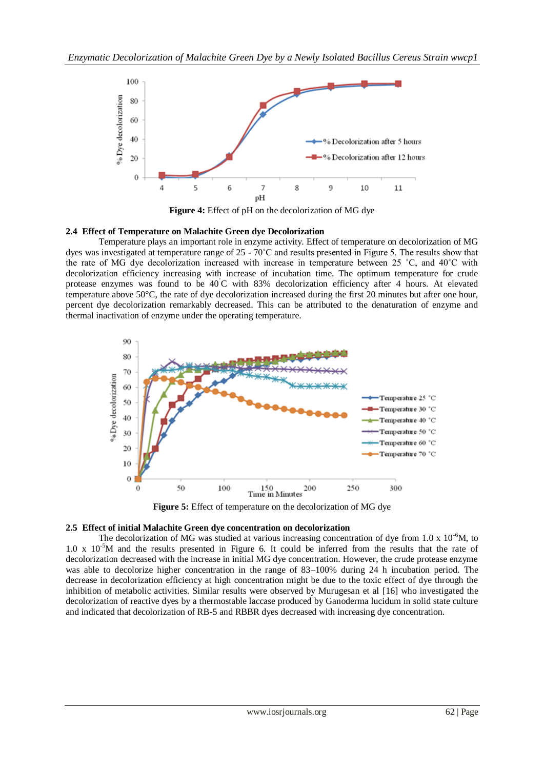

**Figure 4:** Effect of pH on the decolorization of MG dye

#### **2.4 Effect of Temperature on Malachite Green dye Decolorization**

Temperature plays an important role in enzyme activity. Effect of temperature on decolorization of MG dyes was investigated at temperature range of 25 - 70˚C and results presented in Figure 5. The results show that the rate of MG dye decolorization increased with increase in temperature between 25 ˚C, and 40˚C with decolorization efficiency increasing with increase of incubation time. The optimum temperature for crude protease enzymes was found to be 40˚C with 83% decolorization efficiency after 4 hours. At elevated temperature above 50°C, the rate of dye decolorization increased during the first 20 minutes but after one hour, percent dye decolorization remarkably decreased. This can be attributed to the denaturation of enzyme and thermal inactivation of enzyme under the operating temperature.



**Figure 5:** Effect of temperature on the decolorization of MG dye

#### **2.5 Effect of initial Malachite Green dye concentration on decolorization**

The decolorization of MG was studied at various increasing concentration of dye from 1.0 x  $10^{-6}$ M, to 1.0 x  $10^{-5}$ M and the results presented in Figure 6. It could be inferred from the results that the rate of decolorization decreased with the increase in initial MG dye concentration. However, the crude protease enzyme was able to decolorize higher concentration in the range of 83–100% during 24 h incubation period. The decrease in decolorization efficiency at high concentration might be due to the toxic effect of dye through the inhibition of metabolic activities. Similar results were observed by Murugesan et al [16] who investigated the decolorization of reactive dyes by a thermostable laccase produced by Ganoderma lucidum in solid state culture and indicated that decolorization of RB-5 and RBBR dyes decreased with increasing dye concentration.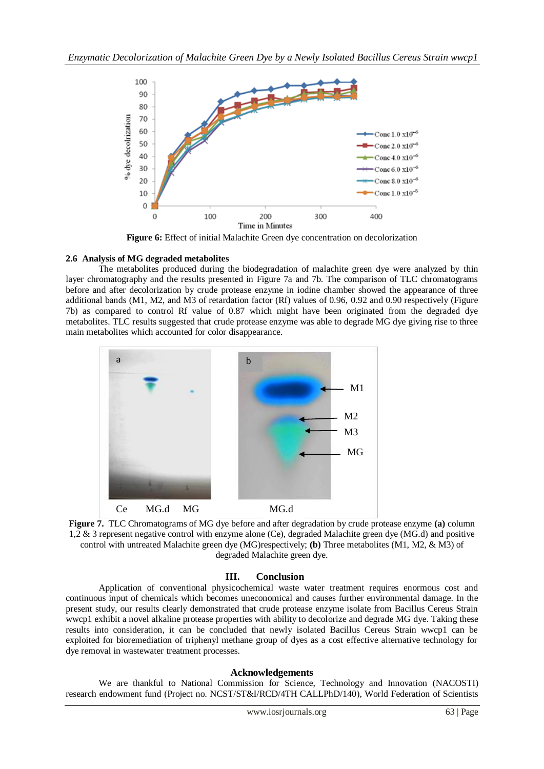

**Figure 6:** Effect of initial Malachite Green dye concentration on decolorization

# **2.6 Analysis of MG degraded metabolites**

The metabolites produced during the biodegradation of malachite green dye were analyzed by thin layer chromatography and the results presented in Figure 7a and 7b. The comparison of TLC chromatograms before and after decolorization by crude protease enzyme in iodine chamber showed the appearance of three additional bands (M1, M2, and M3 of retardation factor (Rf) values of 0.96, 0.92 and 0.90 respectively (Figure 7b) as compared to control Rf value of 0.87 which might have been originated from the degraded dye metabolites. TLC results suggested that crude protease enzyme was able to degrade MG dye giving rise to three main metabolites which accounted for color disappearance.



**Figure 7.** TLC Chromatograms of MG dye before and after degradation by crude protease enzyme **(a)** column 1,2 & 3 represent negative control with enzyme alone (Ce), degraded Malachite green dye (MG.d) and positive control with untreated Malachite green dye (MG)respectively; **(b)** Three metabolites (M1, M2, & M3) of degraded Malachite green dye.

# **III. Conclusion**

Application of conventional physicochemical waste water treatment requires enormous cost and continuous input of chemicals which becomes uneconomical and causes further environmental damage. In the present study, our results clearly demonstrated that crude protease enzyme isolate from Bacillus Cereus Strain wwcp1 exhibit a novel alkaline protease properties with ability to decolorize and degrade MG dye. Taking these results into consideration, it can be concluded that newly isolated Bacillus Cereus Strain wwcp1 can be exploited for bioremediation of triphenyl methane group of dyes as a cost effective alternative technology for dye removal in wastewater treatment processes.

#### **Acknowledgements**

We are thankful to National Commission for Science, Technology and Innovation (NACOSTI) research endowment fund (Project no. NCST/ST&I/RCD/4TH CALLPhD/140), World Federation of Scientists